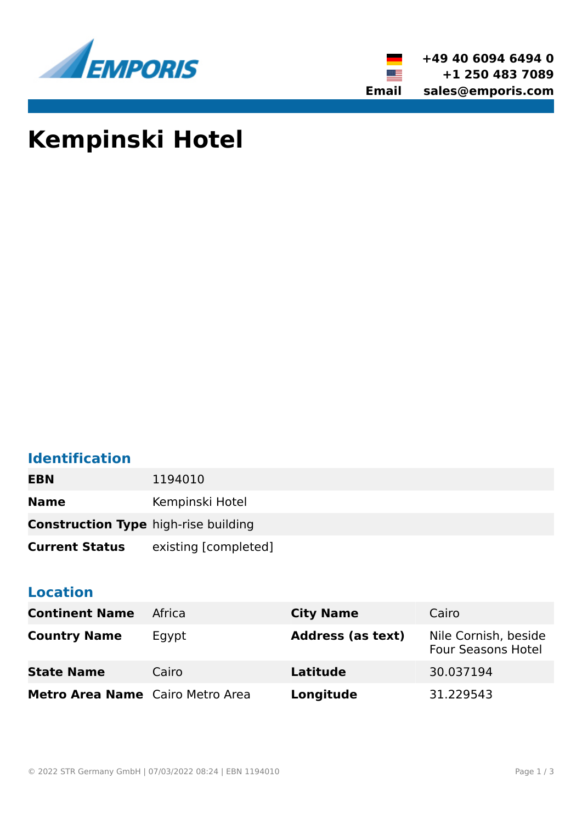



# **Kempinski Hotel**

## **Identification**

| <b>EBN</b>                                  | 1194010              |
|---------------------------------------------|----------------------|
| <b>Name</b>                                 | Kempinski Hotel      |
| <b>Construction Type high-rise building</b> |                      |
| <b>Current Status</b>                       | existing [completed] |

#### **Location**

| <b>Continent Name</b>            | Africa | <b>City Name</b>         | Cairo                                             |
|----------------------------------|--------|--------------------------|---------------------------------------------------|
| <b>Country Name</b>              | Egypt  | <b>Address (as text)</b> | Nile Cornish, beside<br><b>Four Seasons Hotel</b> |
| <b>State Name</b>                | Cairo  | Latitude                 | 30.037194                                         |
| Metro Area Name Cairo Metro Area |        | Longitude                | 31.229543                                         |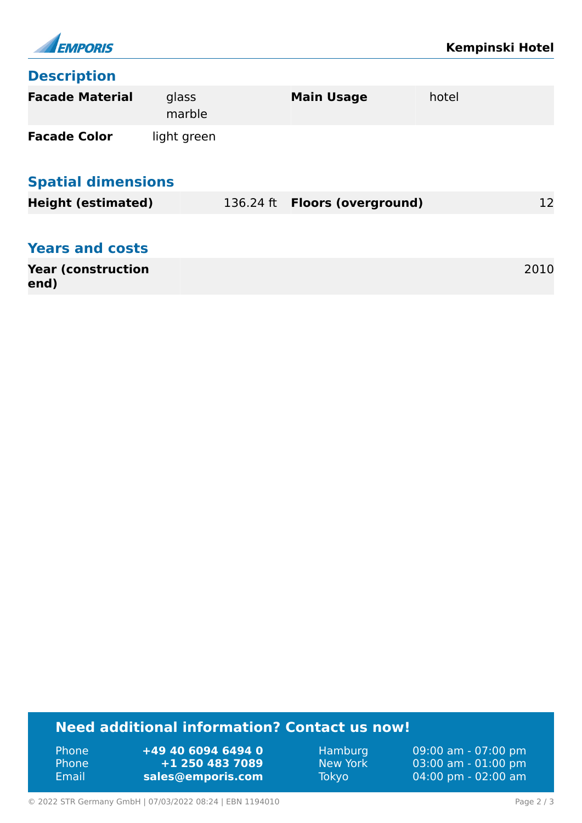

#### **Description**

| <b>Facade Material</b>     | glass<br>marble |           | <b>Main Usage</b>          | hotel |  |  |  |
|----------------------------|-----------------|-----------|----------------------------|-------|--|--|--|
| <b>Facade Color</b>        | light green     |           |                            |       |  |  |  |
| <b>Spatial dimensions</b>  |                 |           |                            |       |  |  |  |
| <b>Height (estimated)</b>  |                 | 136.24 ft | <b>Floors (overground)</b> | 12    |  |  |  |
| <b>Years and costs</b>     |                 |           |                            |       |  |  |  |
| <b>Year (construction)</b> |                 |           |                            | 2010  |  |  |  |
| end)                       |                 |           |                            |       |  |  |  |

### **Need additional information? Contact us now!**

Phone **+49 40 6094 6494 0<br>
Phone <b>+1 250 483 7089** Phone **+1 250 483 7089** Email **<sales@emporis.com>**

Hamburg 09:00 am - 07:00 pm<br>New York 03:00 am - 01:00 pm New York 03:00 am - 01:00 pm<br>Tokyo 04:00 pm - 02:00 am 04:00 pm - 02:00 am